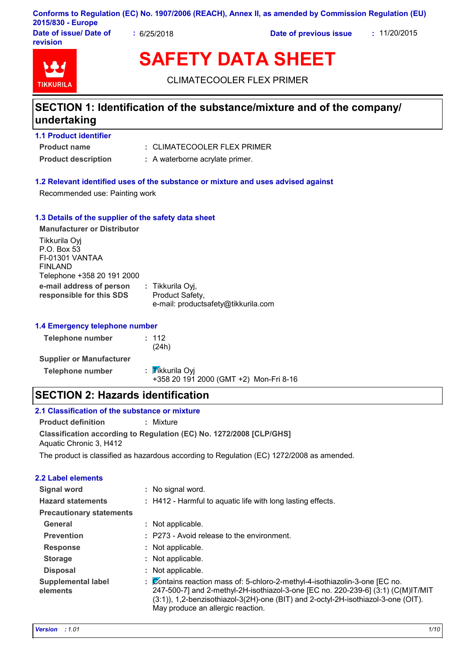### **Conforms to Regulation (EC) No. 1907/2006 (REACH), Annex II, as amended by Commission Regulation (EU) 2015/830 - Europe**

**Date of issue/ Date of revision**

**:** 6/25/2018 **Date of previous issue :** 11/20/2015



# **SAFETY DATA SHEET**

CLIMATECOOLER FLEX PRIMER

## **SECTION 1: Identification of the substance/mixture and of the company/ undertaking**

### **1.1 Product identifier**

**Product name**

- CLIMATECOOLER FLEX PRIMER **:**
- **Product description :** A waterborne acrylate primer.

### **1.2 Relevant identified uses of the substance or mixture and uses advised against**

Recommended use: Painting work

### **1.3 Details of the supplier of the safety data sheet**

| <b>Manufacturer or Distributor</b>                                                       |                                                                            |
|------------------------------------------------------------------------------------------|----------------------------------------------------------------------------|
| Tikkurila Oyj<br>P.O. Box 53<br>FI-01301 VANTAA<br>FINLAND<br>Telephone +358 20 191 2000 |                                                                            |
| e-mail address of person<br>responsible for this SDS                                     | : Tikkurila Oyj,<br>Product Safety,<br>e-mail: productsafety@tikkurila.com |

#### **1.4 Emergency telephone number**

| <b>Telephone number</b>         | : 112<br>(24h)                                            |
|---------------------------------|-----------------------------------------------------------|
| <b>Supplier or Manufacturer</b> |                                                           |
| <b>Telephone number</b>         | : Tikkurila Oyi<br>+358 20 191 2000 (GMT +2) Mon-Fri 8-16 |

### **SECTION 2: Hazards identification**

### **2.1 Classification of the substance or mixture**

**Product definition :** Mixture

**Classification according to Regulation (EC) No. 1272/2008 [CLP/GHS]** Aquatic Chronic 3, H412

The product is classified as hazardous according to Regulation (EC) 1272/2008 as amended.

### **2.2 Label elements**

| <b>Signal word</b>                    | : No signal word.                                                                                                                                                                                                                                                                            |
|---------------------------------------|----------------------------------------------------------------------------------------------------------------------------------------------------------------------------------------------------------------------------------------------------------------------------------------------|
| <b>Hazard statements</b>              | : H412 - Harmful to aquatic life with long lasting effects.                                                                                                                                                                                                                                  |
| <b>Precautionary statements</b>       |                                                                                                                                                                                                                                                                                              |
| General                               | Not applicable.                                                                                                                                                                                                                                                                              |
| <b>Prevention</b>                     | : P273 - Avoid release to the environment.                                                                                                                                                                                                                                                   |
| <b>Response</b>                       | Not applicable.                                                                                                                                                                                                                                                                              |
| <b>Storage</b>                        | Not applicable.                                                                                                                                                                                                                                                                              |
| <b>Disposal</b>                       | Not applicable.                                                                                                                                                                                                                                                                              |
| <b>Supplemental label</b><br>elements | Contains reaction mass of: 5-chloro-2-methyl-4-isothiazolin-3-one [EC no.<br>÷<br>247-500-7] and 2-methyl-2H-isothiazol-3-one [EC no. 220-239-6] (3:1) (C(M)IT/MIT<br>(3:1)), 1,2-benzisothiazol-3(2H)-one (BIT) and 2-octyl-2H-isothiazol-3-one (OIT).<br>May produce an allergic reaction. |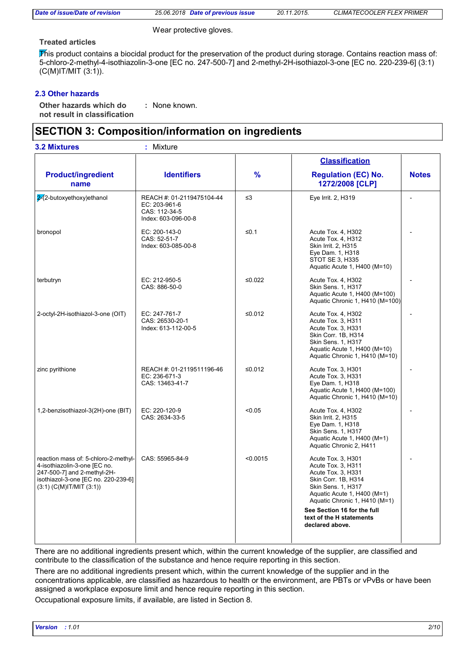| Date of issue/Date of revision |
|--------------------------------|
|--------------------------------|

*Date of issue/Date of revision 25.06.2018 Date of previous issue 20.11.2015. CLIMATECOOLER FLEX PRIMER*

Wear protective gloves.

### **Treated articles**

This product contains a biocidal product for the preservation of the product during storage. Contains reaction mass of: 5-chloro-2-methyl-4-isothiazolin-3-one [EC no. 247-500-7] and 2-methyl-2H-isothiazol-3-one [EC no. 220-239-6] (3:1) (C(M)IT/MIT (3:1)).

### **2.3 Other hazards**

**Other hazards which do : not result in classification** : None known.

### **SECTION 3: Composition/information on ingredients**

| <b>Identifiers</b>                                                                                                                                                                                                                                                                                         | $\frac{9}{6}$                                                                                                                                    | <b>Classification</b>                                                                                                                                                                                                                                     |              |
|------------------------------------------------------------------------------------------------------------------------------------------------------------------------------------------------------------------------------------------------------------------------------------------------------------|--------------------------------------------------------------------------------------------------------------------------------------------------|-----------------------------------------------------------------------------------------------------------------------------------------------------------------------------------------------------------------------------------------------------------|--------------|
|                                                                                                                                                                                                                                                                                                            |                                                                                                                                                  |                                                                                                                                                                                                                                                           |              |
|                                                                                                                                                                                                                                                                                                            |                                                                                                                                                  | <b>Regulation (EC) No.</b><br>1272/2008 [CLP]                                                                                                                                                                                                             | <b>Notes</b> |
| REACH #: 01-2119475104-44<br>EC: 203-961-6<br>CAS: 112-34-5<br>Index: 603-096-00-8                                                                                                                                                                                                                         | $\leq$ 3                                                                                                                                         | Eye Irrit. 2, H319                                                                                                                                                                                                                                        |              |
| EC: 200-143-0<br>CAS: 52-51-7<br>Index: 603-085-00-8                                                                                                                                                                                                                                                       | $≤0.1$<br>Acute Tox. 4, H302<br>Acute Tox. 4, H312<br>Skin Irrit. 2, H315<br>Eye Dam. 1, H318<br>STOT SE 3, H335<br>Aquatic Acute 1, H400 (M=10) |                                                                                                                                                                                                                                                           |              |
| Acute Tox. 4, H302<br>terbutryn<br>EC: 212-950-5<br>≤0.022<br>CAS: 886-50-0<br>Skin Sens. 1, H317                                                                                                                                                                                                          |                                                                                                                                                  | Aquatic Acute 1, H400 (M=100)<br>Aquatic Chronic 1, H410 (M=100)                                                                                                                                                                                          |              |
| 2-octyl-2H-isothiazol-3-one (OIT)<br>EC: 247-761-7<br>≤0.012<br>Acute Tox. 4, H302<br>CAS: 26530-20-1<br>Acute Tox. 3, H311<br>Acute Tox. 3, H331<br>Index: 613-112-00-5<br>Skin Corr. 1B, H314<br>Skin Sens. 1, H317<br>Aquatic Acute 1, H400 (M=10)<br>Aquatic Chronic 1, H410 (M=10)<br>zinc pyrithione |                                                                                                                                                  |                                                                                                                                                                                                                                                           |              |
| REACH #: 01-2119511196-46<br>EC: 236-671-3<br>CAS: 13463-41-7                                                                                                                                                                                                                                              | ≤0.012                                                                                                                                           | Acute Tox. 3, H301<br>Acute Tox. 3, H331<br>Eye Dam. 1, H318<br>Aquatic Acute 1, H400 (M=100)<br>Aquatic Chronic 1, H410 (M=10)                                                                                                                           |              |
| < 0.05<br>1,2-benzisothiazol-3(2H)-one (BIT)<br>EC: 220-120-9<br>CAS: 2634-33-5<br>Skin Irrit. 2, H315                                                                                                                                                                                                     |                                                                                                                                                  | Acute Tox. 4, H302<br>Eye Dam. 1, H318<br>Skin Sens. 1, H317<br>Aquatic Acute 1, H400 (M=1)<br>Aquatic Chronic 2, H411                                                                                                                                    |              |
| CAS: 55965-84-9                                                                                                                                                                                                                                                                                            | < 0.0015                                                                                                                                         | Acute Tox. 3, H301<br>Acute Tox. 3, H311<br>Acute Tox. 3, H331<br>Skin Corr. 1B, H314<br>Skin Sens. 1, H317<br>Aquatic Acute 1, H400 (M=1)<br>Aquatic Chronic 1, H410 (M=1)<br>See Section 16 for the full<br>text of the H statements<br>declared above. |              |
|                                                                                                                                                                                                                                                                                                            | reaction mass of: 5-chloro-2-methyl-<br>isothiazol-3-one [EC no. 220-239-6]                                                                      |                                                                                                                                                                                                                                                           |              |

There are no additional ingredients present which, within the current knowledge of the supplier, are classified and contribute to the classification of the substance and hence require reporting in this section.

There are no additional ingredients present which, within the current knowledge of the supplier and in the concentrations applicable, are classified as hazardous to health or the environment, are PBTs or vPvBs or have been assigned a workplace exposure limit and hence require reporting in this section.

Occupational exposure limits, if available, are listed in Section 8.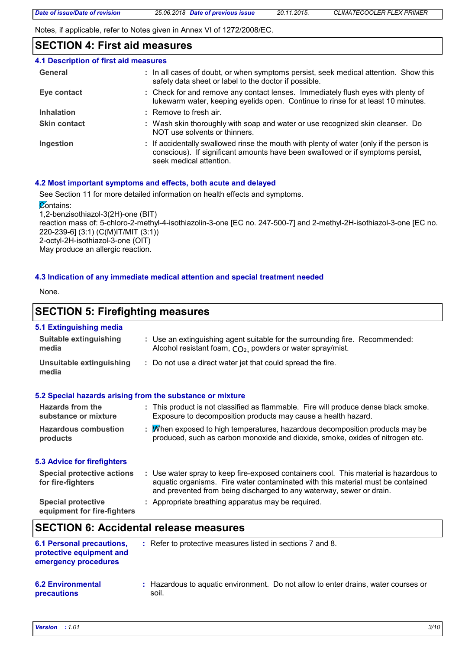Notes, if applicable, refer to Notes given in Annex VI of 1272/2008/EC.

### **SECTION 4: First aid measures**

| 4.1 Description of first aid measures |                                                                                                                                                                                                      |
|---------------------------------------|------------------------------------------------------------------------------------------------------------------------------------------------------------------------------------------------------|
| General                               | : In all cases of doubt, or when symptoms persist, seek medical attention. Show this<br>safety data sheet or label to the doctor if possible.                                                        |
| Eye contact                           | : Check for and remove any contact lenses. Immediately flush eyes with plenty of<br>lukewarm water, keeping eyelids open. Continue to rinse for at least 10 minutes.                                 |
| <b>Inhalation</b>                     | $:$ Remove to fresh air.                                                                                                                                                                             |
| <b>Skin contact</b>                   | : Wash skin thoroughly with soap and water or use recognized skin cleanser. Do<br>NOT use solvents or thinners.                                                                                      |
| Ingestion                             | : If accidentally swallowed rinse the mouth with plenty of water (only if the person is<br>conscious). If significant amounts have been swallowed or if symptoms persist,<br>seek medical attention. |

### **4.2 Most important symptoms and effects, both acute and delayed**

soil.

See Section 11 for more detailed information on health effects and symptoms.

**Contains:** 

1,2-benzisothiazol-3(2H)-one (BIT) reaction mass of: 5-chloro-2-methyl-4-isothiazolin-3-one [EC no. 247-500-7] and 2-methyl-2H-isothiazol-3-one [EC no. 220-239-6] (3:1) (C(M)IT/MIT (3:1)) 2-octyl-2H-isothiazol-3-one (OIT) May produce an allergic reaction.

### **4.3 Indication of any immediate medical attention and special treatment needed**

None.

### **SECTION 5: Firefighting measures**

### **5.1 Extinguishing media**

| <b>Suitable extinguishing</b><br>media                                               | : Use an extinguishing agent suitable for the surrounding fire. Recommended:<br>Alcohol resistant foam, CO <sub>2</sub> , powders or water spray/mist.                                                                                           |
|--------------------------------------------------------------------------------------|--------------------------------------------------------------------------------------------------------------------------------------------------------------------------------------------------------------------------------------------------|
| <b>Unsuitable extinguishing</b><br>media                                             | : Do not use a direct water jet that could spread the fire.                                                                                                                                                                                      |
|                                                                                      | 5.2 Special hazards arising from the substance or mixture                                                                                                                                                                                        |
| Hazards from the<br>substance or mixture                                             | : This product is not classified as flammable. Fire will produce dense black smoke.<br>Exposure to decomposition products may cause a health hazard.                                                                                             |
| <b>Hazardous combustion</b><br>products                                              | : Minen exposed to high temperatures, hazardous decomposition products may be<br>produced, such as carbon monoxide and dioxide, smoke, oxides of nitrogen etc.                                                                                   |
| <b>5.3 Advice for firefighters</b>                                                   |                                                                                                                                                                                                                                                  |
| <b>Special protective actions</b><br>for fire-fighters                               | : Use water spray to keep fire-exposed containers cool. This material is hazardous to<br>aquatic organisms. Fire water contaminated with this material must be contained<br>and prevented from being discharged to any waterway, sewer or drain. |
| <b>Special protective</b><br>equipment for fire-fighters                             | : Appropriate breathing apparatus may be required.                                                                                                                                                                                               |
|                                                                                      | <b>SECTION 6: Accidental release measures</b>                                                                                                                                                                                                    |
| <b>6.1 Personal precautions,</b><br>protective equipment and<br>emergency procedures | : Refer to protective measures listed in sections 7 and 8.                                                                                                                                                                                       |
| <b>6.2 Environmental</b>                                                             | : Hazardous to aquatic environment. Do not allow to enter drains, water courses or                                                                                                                                                               |

**precautions**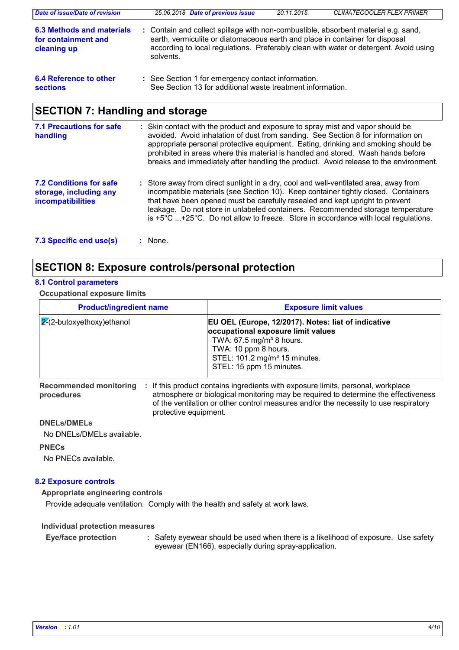| Date of issue/Date of revision                                  | 25.06.2018 Date of previous issue                                                                                                                                               | 20.11.2015. | <b>CLIMATECOOLER FLEX PRIMER</b>                                                      |
|-----------------------------------------------------------------|---------------------------------------------------------------------------------------------------------------------------------------------------------------------------------|-------------|---------------------------------------------------------------------------------------|
| 6.3 Methods and materials<br>for containment and<br>cleaning up | : Contain and collect spillage with non-combustible, absorbent material e.g. sand,<br>earth, vermiculite or diatomaceous earth and place in container for disposal<br>solvents. |             | according to local regulations. Preferably clean with water or detergent. Avoid using |
| 6.4 Reference to other<br><b>sections</b>                       | : See Section 1 for emergency contact information.<br>See Section 13 for additional waste treatment information.                                                                |             |                                                                                       |
| <b>SECTION 7: Handling and storage</b>                          |                                                                                                                                                                                 |             |                                                                                       |
| <b>7.1 Precautions for safe</b><br>handling                     | : Skin contact with the product and exposure to spray mist and vapor should be<br>avoided. Avoid inhalation of dust from sanding. See Section 8 for information on              |             |                                                                                       |

|                                                                                      | prohibited in areas where this material is handled and stored. Wash hands before<br>breaks and immediately after handling the product. Avoid release to the environment.                                                                                                                                                                                                                                                                     |
|--------------------------------------------------------------------------------------|----------------------------------------------------------------------------------------------------------------------------------------------------------------------------------------------------------------------------------------------------------------------------------------------------------------------------------------------------------------------------------------------------------------------------------------------|
| <b>7.2 Conditions for safe</b><br>storage, including any<br><b>incompatibilities</b> | : Store away from direct sunlight in a dry, cool and well-ventilated area, away from<br>incompatible materials (see Section 10). Keep container tightly closed. Containers<br>that have been opened must be carefully resealed and kept upright to prevent<br>leakage. Do not store in unlabeled containers. Recommended storage temperature<br>is $+5^{\circ}$ C +25°C. Do not allow to freeze. Store in accordance with local regulations. |

**7.3 Specific end use(s) :**

### **SECTION 8: Exposure controls/personal protection**

### **8.1 Control parameters**

### **Occupational exposure limits**

| <b>Product/ingredient name</b> | <b>Exposure limit values</b>                                                                                                                                                                                                         |
|--------------------------------|--------------------------------------------------------------------------------------------------------------------------------------------------------------------------------------------------------------------------------------|
| $ 2(2-butoxyethoxy)$ ethanol   | EU OEL (Europe, 12/2017). Notes: list of indicative<br>occupational exposure limit values<br>TWA: $67.5$ mg/m <sup>3</sup> 8 hours.<br>TWA: 10 ppm 8 hours.<br>STEL: 101.2 mg/m <sup>3</sup> 15 minutes.<br>STEL: 15 ppm 15 minutes. |

**procedures**

Recommended monitoring : If this product contains ingredients with exposure limits, personal, workplace atmosphere or biological monitoring may be required to determine the effectiveness of the ventilation or other control measures and/or the necessity to use respiratory protective equipment.

appropriate personal protective equipment. Eating, drinking and smoking should be

### **DNELs/DMELs**

No DNELs/DMELs available.

### **PNECs**

No PNECs available.

### **8.2 Exposure controls**

**Appropriate engineering controls**

Provide adequate ventilation. Comply with the health and safety at work laws.

**Individual protection measures**

Safety eyewear should be used when there is a likelihood of exposure. Use safety eyewear (EN166), especially during spray-application. **Eye/face protection :**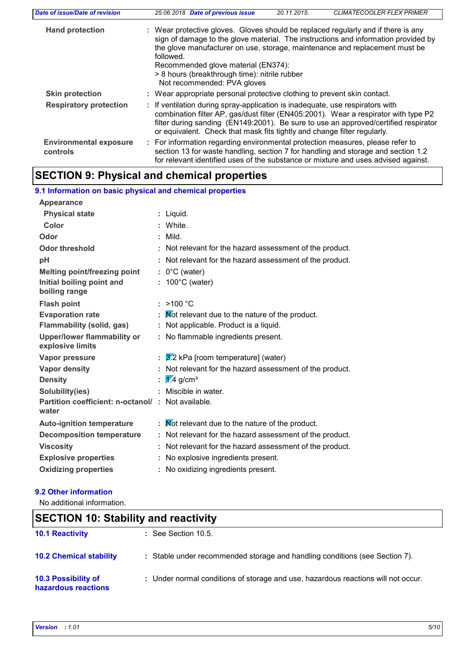| Date of issue/Date of revision            | <b>CLIMATECOOLER FLEX PRIMER</b><br>25.06.2018 Date of previous issue<br>20.11.2015.                                                                                                                                                                                                                                                                                                       |
|-------------------------------------------|--------------------------------------------------------------------------------------------------------------------------------------------------------------------------------------------------------------------------------------------------------------------------------------------------------------------------------------------------------------------------------------------|
| <b>Hand protection</b>                    | : Wear protective gloves. Gloves should be replaced regularly and if there is any<br>sign of damage to the glove material. The instructions and information provided by<br>the glove manufacturer on use, storage, maintenance and replacement must be<br>followed.<br>Recommended glove material (EN374):<br>> 8 hours (breakthrough time): nitrile rubber<br>Not recommended: PVA gloves |
| <b>Skin protection</b>                    | : Wear appropriate personal protective clothing to prevent skin contact.                                                                                                                                                                                                                                                                                                                   |
| <b>Respiratory protection</b>             | : If ventilation during spray-application is inadequate, use respirators with<br>combination filter AP, gas/dust filter (EN405:2001). Wear a respirator with type P2<br>filter during sanding (EN149:2001). Be sure to use an approved/certified respirator<br>or equivalent. Check that mask fits tightly and change filter regularly.                                                    |
| <b>Environmental exposure</b><br>controls | : For information regarding environmental protection measures, please refer to<br>section 13 for waste handling, section 7 for handling and storage and section 1.2<br>for relevant identified uses of the substance or mixture and uses advised against.                                                                                                                                  |

### **SECTION 9: Physical and chemical properties**

| 9.1 Information on basic physical and chemical properties  |    |                                                          |  |
|------------------------------------------------------------|----|----------------------------------------------------------|--|
| Appearance                                                 |    |                                                          |  |
| <b>Physical state</b>                                      |    | : Liquid.                                                |  |
| Color                                                      |    | : White.                                                 |  |
| Odor                                                       | ÷. | Mild.                                                    |  |
| <b>Odor threshold</b>                                      |    | : Not relevant for the hazard assessment of the product. |  |
| рH                                                         |    | : Not relevant for the hazard assessment of the product. |  |
| <b>Melting point/freezing point</b>                        |    | $: 0^{\circ}$ C (water)                                  |  |
| Initial boiling point and<br>boiling range                 | ÷. | 100°C (water)                                            |  |
| <b>Flash point</b>                                         |    | : $>100 °C$                                              |  |
| <b>Evaporation rate</b>                                    | ÷. | Not relevant due to the nature of the product.           |  |
| Flammability (solid, gas)                                  |    | : Not applicable. Product is a liquid.                   |  |
| <b>Upper/lower flammability or</b><br>explosive limits     |    | : No flammable ingredients present.                      |  |
| Vapor pressure                                             | ÷. | 3.2 kPa [room temperature] (water)                       |  |
| Vapor density                                              |    | : Not relevant for the hazard assessment of the product. |  |
| <b>Density</b>                                             | ÷. | $\sqrt{1/4}$ g/cm <sup>3</sup>                           |  |
| Solubility(ies)                                            |    | Miscible in water.                                       |  |
| Partition coefficient: n-octanol/: Not available.<br>water |    |                                                          |  |
| <b>Auto-ignition temperature</b>                           |    | : Mot relevant due to the nature of the product.         |  |
| <b>Decomposition temperature</b>                           |    | : Not relevant for the hazard assessment of the product. |  |
| <b>Viscosity</b>                                           |    | : Not relevant for the hazard assessment of the product. |  |
| <b>Explosive properties</b>                                |    | : No explosive ingredients present.                      |  |
| <b>Oxidizing properties</b>                                |    | : No oxidizing ingredients present.                      |  |
|                                                            |    |                                                          |  |

### **9.2 Other information**

No additional information.

| <b>SECTION 10: Stability and reactivity</b> |                                                                                   |  |  |
|---------------------------------------------|-----------------------------------------------------------------------------------|--|--|
| <b>10.1 Reactivity</b>                      | $\therefore$ See Section 10.5.                                                    |  |  |
| <b>10.2 Chemical stability</b>              | : Stable under recommended storage and handling conditions (see Section 7).       |  |  |
| 10.3 Possibility of<br>hazardous reactions  | : Under normal conditions of storage and use, hazardous reactions will not occur. |  |  |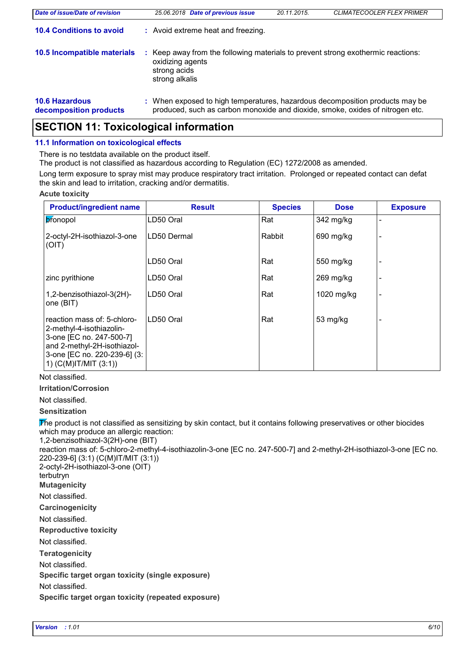| Date of issue/Date of revision                  | 25.06.2018 Date of previous issue                                                                                                                             | 20.11.2015. | <b>CLIMATECOOLER FLEX PRIMER</b> |
|-------------------------------------------------|---------------------------------------------------------------------------------------------------------------------------------------------------------------|-------------|----------------------------------|
| <b>10.4 Conditions to avoid</b>                 | : Avoid extreme heat and freezing.                                                                                                                            |             |                                  |
| 10.5 Incompatible materials                     | : Keep away from the following materials to prevent strong exothermic reactions:<br>oxidizing agents<br>strong acids<br>strong alkalis                        |             |                                  |
| <b>10.6 Hazardous</b><br>decomposition products | : When exposed to high temperatures, hazardous decomposition products may be<br>produced, such as carbon monoxide and dioxide, smoke, oxides of nitrogen etc. |             |                                  |

### **SECTION 11: Toxicological information**

### **11.1 Information on toxicological effects**

There is no testdata available on the product itself.

The product is not classified as hazardous according to Regulation (EC) 1272/2008 as amended.

Long term exposure to spray mist may produce respiratory tract irritation. Prolonged or repeated contact can defat the skin and lead to irritation, cracking and/or dermatitis.

#### **Acute toxicity**

| <b>Product/ingredient name</b>                                                                                                                                                  | <b>Result</b> | <b>Species</b> | <b>Dose</b> | <b>Exposure</b> |
|---------------------------------------------------------------------------------------------------------------------------------------------------------------------------------|---------------|----------------|-------------|-----------------|
| pronopol                                                                                                                                                                        | LD50 Oral     | Rat            | 342 mg/kg   |                 |
| 2-octyl-2H-isothiazol-3-one<br>(OIT)                                                                                                                                            | LD50 Dermal   | Rabbit         | 690 mg/kg   |                 |
|                                                                                                                                                                                 | LD50 Oral     | Rat            | 550 mg/kg   |                 |
| zinc pyrithione                                                                                                                                                                 | LD50 Oral     | Rat            | $269$ mg/kg |                 |
| 1,2-benzisothiazol-3(2H)-<br>one (BIT)                                                                                                                                          | LD50 Oral     | Rat            | 1020 mg/kg  |                 |
| reaction mass of: 5-chloro-<br>2-methyl-4-isothiazolin-<br>3-one [EC no. 247-500-7]<br>and 2-methyl-2H-isothiazol-<br>3-one [EC no. 220-239-6] (3:<br>1) $(C(M)$ IT/MIT $(3:1)$ | LD50 Oral     | Rat            | 53 mg/kg    |                 |

Not classified.

**Irritation/Corrosion**

Not classified.

**Sensitization**

The product is not classified as sensitizing by skin contact, but it contains following preservatives or other biocides which may produce an allergic reaction:

1,2-benzisothiazol-3(2H)-one (BIT) reaction mass of: 5-chloro-2-methyl-4-isothiazolin-3-one [EC no. 247-500-7] and 2-methyl-2H-isothiazol-3-one [EC no. 220-239-6] (3:1) (C(M)IT/MIT (3:1)) 2-octyl-2H-isothiazol-3-one (OIT) terbutryn

**Mutagenicity**

Not classified.

**Carcinogenicity**

Not classified.

**Reproductive toxicity**

Not classified.

**Teratogenicity**

Not classified.

**Specific target organ toxicity (single exposure)**

Not classified.

**Specific target organ toxicity (repeated exposure)**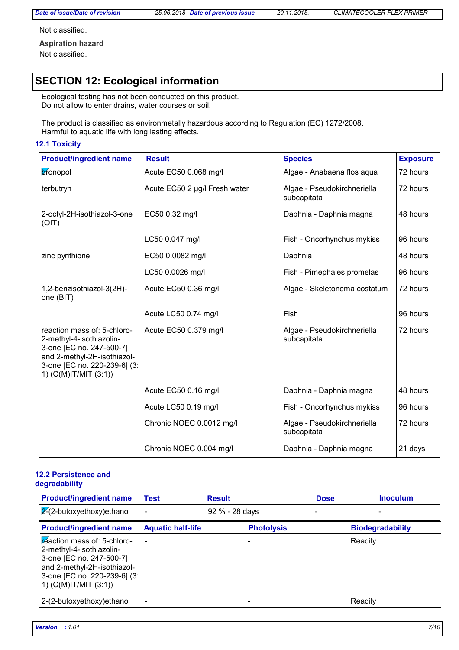Not classified.

**Aspiration hazard** Not classified.

## **SECTION 12: Ecological information**

Ecological testing has not been conducted on this product. Do not allow to enter drains, water courses or soil.

The product is classified as environmetally hazardous according to Regulation (EC) 1272/2008. Harmful to aquatic life with long lasting effects.

#### **12.1 Toxicity**

| <b>Product/ingredient name</b>                                                                                                                                              | <b>Result</b>                 | <b>Species</b>                             | <b>Exposure</b> |
|-----------------------------------------------------------------------------------------------------------------------------------------------------------------------------|-------------------------------|--------------------------------------------|-----------------|
| bronopol                                                                                                                                                                    | Acute EC50 0.068 mg/l         | Algae - Anabaena flos aqua                 | 72 hours        |
| terbutryn                                                                                                                                                                   | Acute EC50 2 µg/l Fresh water | Algae - Pseudokirchneriella<br>subcapitata | 72 hours        |
| 2-octyl-2H-isothiazol-3-one<br>(OIT)                                                                                                                                        | EC50 0.32 mg/l                | Daphnia - Daphnia magna                    | 48 hours        |
|                                                                                                                                                                             | LC50 0.047 mg/l               | Fish - Oncorhynchus mykiss                 | 96 hours        |
| zinc pyrithione                                                                                                                                                             | EC50 0.0082 mg/l              | Daphnia                                    | 48 hours        |
|                                                                                                                                                                             | LC50 0.0026 mg/l              | Fish - Pimephales promelas                 | 96 hours        |
| 1,2-benzisothiazol-3(2H)-<br>one (BIT)                                                                                                                                      | Acute EC50 0.36 mg/l          | Algae - Skeletonema costatum               | 72 hours        |
|                                                                                                                                                                             | Acute LC50 0.74 mg/l          | Fish                                       | 96 hours        |
| reaction mass of: 5-chloro-<br>2-methyl-4-isothiazolin-<br>3-one [EC no. 247-500-7]<br>and 2-methyl-2H-isothiazol-<br>3-one [EC no. 220-239-6] (3:<br>1) (C(M)IT/MIT (3:1)) | Acute EC50 0.379 mg/l         | Algae - Pseudokirchneriella<br>subcapitata | 72 hours        |
|                                                                                                                                                                             | Acute EC50 0.16 mg/l          | Daphnia - Daphnia magna                    | 48 hours        |
|                                                                                                                                                                             | Acute LC50 0.19 mg/l          | Fish - Oncorhynchus mykiss                 | 96 hours        |
|                                                                                                                                                                             | Chronic NOEC 0.0012 mg/l      | Algae - Pseudokirchneriella<br>subcapitata | 72 hours        |
|                                                                                                                                                                             | Chronic NOEC 0.004 mg/l       | Daphnia - Daphnia magna                    | 21 days         |

#### **12.2 Persistence and degradability**

| <b>Product/ingredient name</b>                                                                                                                                                  | Test                     | <b>Result</b>  |                   | <b>Dose</b> |         | <b>Inoculum</b>         |
|---------------------------------------------------------------------------------------------------------------------------------------------------------------------------------|--------------------------|----------------|-------------------|-------------|---------|-------------------------|
| $ 2(2-butoxyethoxy)$ ethanol                                                                                                                                                    |                          | 92 % - 28 days |                   |             |         |                         |
| <b>Product/ingredient name</b>                                                                                                                                                  | <b>Aquatic half-life</b> |                | <b>Photolysis</b> |             |         | <b>Biodegradability</b> |
| peaction mass of: 5-chloro-<br>2-methyl-4-isothiazolin-<br>3-one [EC no. 247-500-7]<br>and 2-methyl-2H-isothiazol-<br>3-one [EC no. 220-239-6] (3:<br>1) $(C(M)$ IT/MIT $(3:1)$ |                          |                |                   |             | Readily |                         |
| 2-(2-butoxyethoxy) ethanol                                                                                                                                                      |                          |                |                   |             | Readily |                         |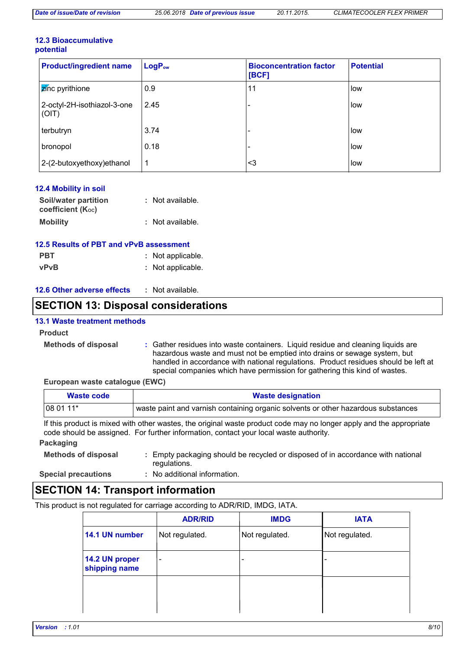#### **12.3 Bioaccumulative potential**

| <b>Product/ingredient name</b>       | $LogP_{ow}$ | <b>Bioconcentration factor</b><br>[BCF] | <b>Potential</b> |
|--------------------------------------|-------------|-----------------------------------------|------------------|
| <b>Z</b> inc pyrithione              | 0.9         | 11                                      | low              |
| 2-octyl-2H-isothiazol-3-one<br>(OIT) | 2.45        |                                         | low              |
| terbutryn                            | 3.74        |                                         | low              |
| bronopol                             | 0.18        |                                         | low              |
| 2-(2-butoxyethoxy) ethanol           | 1           | ∣<3                                     | low              |

| <b>12.4 Mobility in soil</b>              |                  |
|-------------------------------------------|------------------|
| Soil/water partition<br>coefficient (Koc) | : Not available. |
| <b>Mobility</b>                           | : Not available. |

### **12.5 Results of PBT and vPvB assessment**

| <b>PBT</b>  | : Not applicable. |
|-------------|-------------------|
| <b>vPvB</b> | : Not applicable. |

#### **12.6 Other adverse effects :**

### **SECTION 13: Disposal considerations**

#### **13.1 Waste treatment methods**

#### **Product**

**Methods of disposal :**

Gather residues into waste containers. Liquid residue and cleaning liquids are hazardous waste and must not be emptied into drains or sewage system, but handled in accordance with national regulations. Product residues should be left at special companies which have permission for gathering this kind of wastes.

#### **European waste catalogue (EWC)**

| Waste code | <b>Waste designation</b>                                                               |  |  |  |
|------------|----------------------------------------------------------------------------------------|--|--|--|
| $1080111*$ | $_1$ waste paint and varnish containing organic solvents or other hazardous substances |  |  |  |

If this product is mixed with other wastes, the original waste product code may no longer apply and the appropriate code should be assigned. For further information, contact your local waste authority.

### **Packaging**

| <b>Methods of disposal</b> | : Empty packaging should be recycled or disposed of in accordance with national |
|----------------------------|---------------------------------------------------------------------------------|
|                            | regulations.                                                                    |

**Special precautions :**

No additional information.

### **SECTION 14: Transport information**

This product is not regulated for carriage according to ADR/RID, IMDG, IATA.

|                                 | <b>ADR/RID</b>           | <b>IMDG</b>              | <b>IATA</b>    |
|---------------------------------|--------------------------|--------------------------|----------------|
| 14.1 UN number                  | Not regulated.           | Not regulated.           | Not regulated. |
| 14.2 UN proper<br>shipping name | $\overline{\phantom{0}}$ | $\overline{\phantom{a}}$ | ۰              |
|                                 |                          |                          |                |
|                                 |                          |                          |                |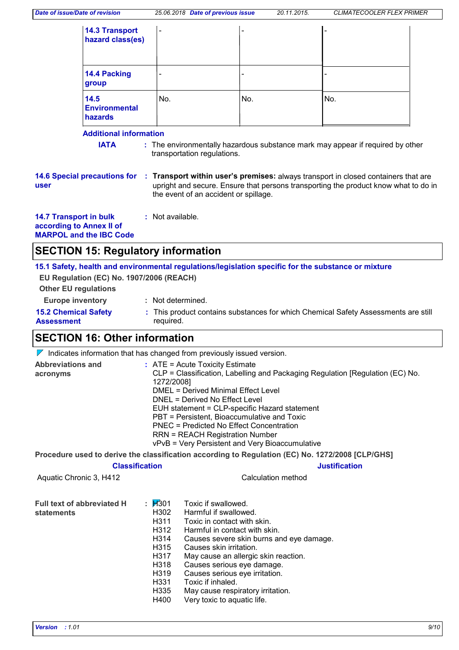| <b>14.3 Transport</b><br>hazard class(es) | $\overline{\phantom{a}}$ | $\qquad \qquad \blacksquare$ | $\qquad \qquad \blacksquare$ |
|-------------------------------------------|--------------------------|------------------------------|------------------------------|
| 14.4 Packing<br>group                     | $\overline{\phantom{0}}$ | $\overline{\phantom{0}}$     |                              |
| 14.5<br><b>Environmental</b><br>hazards   | No.                      | No.                          | No.                          |

### **Additional information**

**IATA** : The environmentally hazardous substance mark may appear if required by other transportation regulations.

**14.6 Special precautions for user**

**Transport within user's premises:** always transport in closed containers that are **:** upright and secure. Ensure that persons transporting the product know what to do in the event of an accident or spillage.

**14.7 Transport in bulk according to Annex II of MARPOL and the IBC Code :** Not available.

### **SECTION 15: Regulatory information**

**15.1 Safety, health and environmental regulations/legislation specific for the substance or mixture EU Regulation (EC) No. 1907/2006 (REACH)**

**Other EU regulations**

- **Europe inventory :** Not determined.
- **15.2 Chemical Safety Assessment** This product contains substances for which Chemical Safety Assessments are still **:** required.

### **SECTION 16: Other information**

 $\nabla$  Indicates information that has changed from previously issued version.

| Abbreviations and<br>acronyms                   |                                                                                                           | $:$ ATE = Acute Toxicity Estimate<br>CLP = Classification, Labelling and Packaging Regulation [Regulation (EC) No.<br>1272/2008]<br><b>DMEL = Derived Minimal Effect Level</b><br>DNEL = Derived No Effect Level<br>EUH statement = CLP-specific Hazard statement<br>PBT = Persistent, Bioaccumulative and Toxic<br>PNEC = Predicted No Effect Concentration<br><b>RRN = REACH Registration Number</b><br>vPvB = Very Persistent and Very Bioaccumulative |  |  |
|-------------------------------------------------|-----------------------------------------------------------------------------------------------------------|-----------------------------------------------------------------------------------------------------------------------------------------------------------------------------------------------------------------------------------------------------------------------------------------------------------------------------------------------------------------------------------------------------------------------------------------------------------|--|--|
|                                                 |                                                                                                           | Procedure used to derive the classification according to Regulation (EC) No. 1272/2008 [CLP/GHS]                                                                                                                                                                                                                                                                                                                                                          |  |  |
| <b>Classification</b>                           |                                                                                                           | <b>Justification</b>                                                                                                                                                                                                                                                                                                                                                                                                                                      |  |  |
| Aquatic Chronic 3, H412                         |                                                                                                           | Calculation method                                                                                                                                                                                                                                                                                                                                                                                                                                        |  |  |
| <b>Full text of abbreviated H</b><br>statements | : $\cancel{H}301$<br>H302<br>H311<br>H312<br>H314<br>H315<br>H317<br>H318<br>H319<br>H331<br>H335<br>H400 | Toxic if swallowed.<br>Harmful if swallowed.<br>Toxic in contact with skin.<br>Harmful in contact with skin.<br>Causes severe skin burns and eye damage.<br>Causes skin irritation.<br>May cause an allergic skin reaction.<br>Causes serious eye damage.<br>Causes serious eye irritation.<br>Toxic if inhaled.<br>May cause respiratory irritation.<br>Very toxic to aquatic life.                                                                      |  |  |